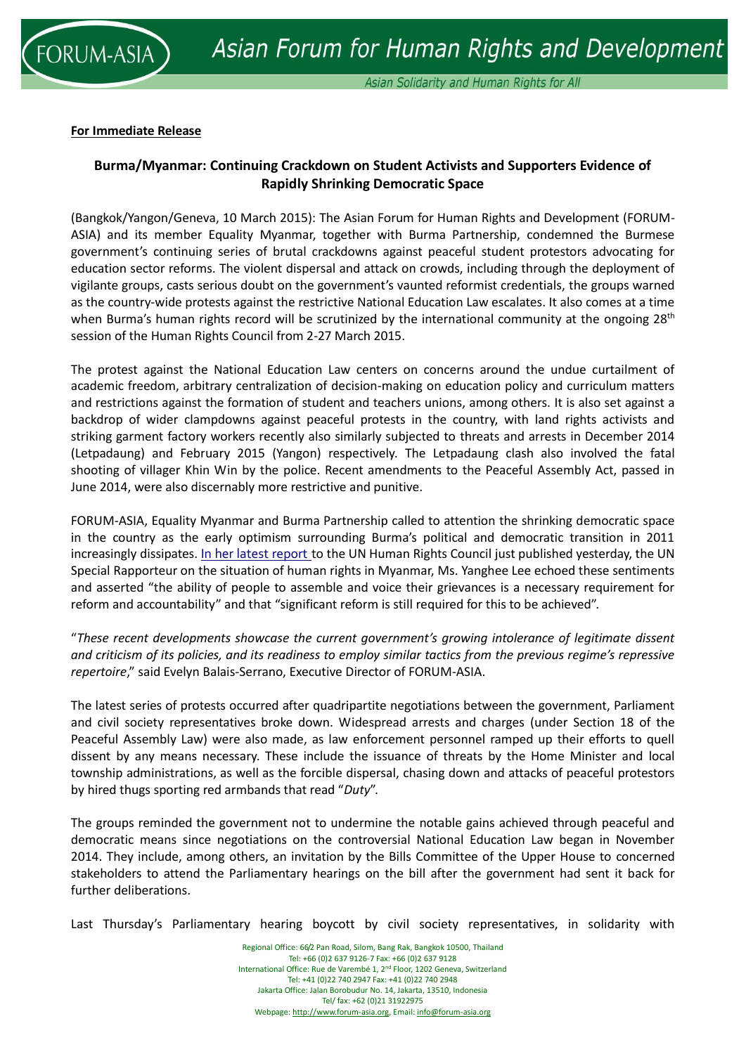

### **For Immediate Release**

# **Burma/Myanmar: Continuing Crackdown on Student Activists and Supporters Evidence of Rapidly Shrinking Democratic Space**

(Bangkok/Yangon/Geneva, 10 March 2015): The Asian Forum for Human Rights and Development (FORUM-ASIA) and its member Equality Myanmar, together with Burma Partnership, condemned the Burmese government's continuing series of brutal crackdowns against peaceful student protestors advocating for education sector reforms. The violent dispersal and attack on crowds, including through the deployment of vigilante groups, casts serious doubt on the government's vaunted reformist credentials, the groups warned as the country-wide protests against the restrictive National Education Law escalates. It also comes at a time when Burma's human rights record will be scrutinized by the international community at the ongoing 28<sup>th</sup> session of the Human Rights Council from 2-27 March 2015.

The protest against the National Education Law centers on concerns around the undue curtailment of academic freedom, arbitrary centralization of decision-making on education policy and curriculum matters and restrictions against the formation of student and teachers unions, among others. It is also set against a backdrop of wider clampdowns against peaceful protests in the country, with land rights activists and striking garment factory workers recently also similarly subjected to threats and arrests in December 2014 (Letpadaung) and February 2015 (Yangon) respectively. The Letpadaung clash also involved the fatal shooting of villager Khin Win by the police. Recent amendments to the Peaceful Assembly Act, passed in June 2014, were also discernably more restrictive and punitive.

FORUM-ASIA, Equality Myanmar and Burma Partnership called to attention the shrinking democratic space in the country as the early optimism surrounding Burma's political and democratic transition in 2011 increasingly dissipates. In her latest [report](http://www.ohchr.org/EN/HRBodies/HRC/RegularSessions/Session28/Documents/A_HRC_28_72_en.doc) to the UN Human Rights Council just published yesterday, the UN Special Rapporteur on the situation of human rights in Myanmar, Ms. Yanghee Lee echoed these sentiments and asserted "the ability of people to assemble and voice their grievances is a necessary requirement for reform and accountability" and that "significant reform is still required for this to be achieved".

"*These recent developments showcase the current government's growing intolerance of legitimate dissent and criticism of its policies, and its readiness to employ similar tactics from the previous regime's repressive repertoire*," said Evelyn Balais-Serrano, Executive Director of FORUM-ASIA.

The latest series of protests occurred after quadripartite negotiations between the government, Parliament and civil society representatives broke down. Widespread arrests and charges (under Section 18 of the Peaceful Assembly Law) were also made, as law enforcement personnel ramped up their efforts to quell dissent by any means necessary. These include the issuance of threats by the Home Minister and local township administrations, as well as the forcible dispersal, chasing down and attacks of peaceful protestors by hired thugs sporting red armbands that read "*Duty*".

The groups reminded the government not to undermine the notable gains achieved through peaceful and democratic means since negotiations on the controversial National Education Law began in November 2014. They include, among others, an invitation by the Bills Committee of the Upper House to concerned stakeholders to attend the Parliamentary hearings on the bill after the government had sent it back for further deliberations.

Last Thursday's Parliamentary hearing boycott by civil society representatives, in solidarity with

Regional Office: 66/2 Pan Road, Silom, Bang Rak, Bangkok 10500, Thailand Tel: +66 (0)2 637 9126-7 Fax: +66 (0)2 637 9128 International Office: Rue de Varembé 1, 2nd Floor, 1202 Geneva, Switzerland Tel: +41 (0)22 740 2947 Fax: +41 (0)22 740 2948 Jakarta Office: Jalan Borobudur No. 14, Jakarta, 13510, Indonesia Tel/ fax: +62 (0)21 31922975 Webpage[: http://www.forum-asia.org,](http://www.forum-asia.org/) Email[: info@forum-asia.org](mailto:info@forum-asia.org)